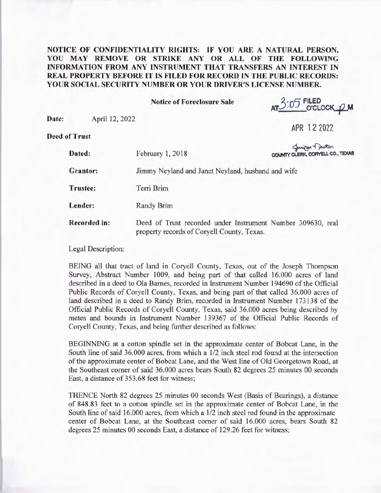## **NOTICE OF CONFIDENTIALITY RIGHTS: IF YOU ARE A NATURAL PERSON, YOU MAY REMOVE OR STRIKE ANY OR ALL OF THE FOLLOWING INFORMATION FROM ANY INSTRUMENT THAT TRANSFERS AN INTEREST IN REAL PROPERTY BEFORE IT IS FILED FOR RECORD IN THE PUBLIC RECORDS: YOUR SOCIAL SECURITY NUMBER OR YOUR DRIVER'S LICENSE NUMBER.**

**Notice of Foreclosure Sale** 

2.. 5 **FILED**  AT. J.U.J O'CLOCK <u>O</u>M

**Date:** April 12, 2022

**APR 12 2022** 

**Deed of Trust** 

| f Trust             |                                                                                                           |                                                      |
|---------------------|-----------------------------------------------------------------------------------------------------------|------------------------------------------------------|
| Dated:              | February 1, 2018                                                                                          | Gunifyer Tyurton<br>COUNTY CLERK, CORYELL CO., TEXAS |
| <b>Grantor:</b>     | Jimmy Neyland and Janet Neyland, husband and wife                                                         |                                                      |
| <b>Trustee:</b>     | Terri Brim                                                                                                |                                                      |
| Lender:             | Randy Brim                                                                                                |                                                      |
| <b>Recorded in:</b> | Deed of Trust recorded under Instrument Number 309630, real<br>property records of Coryell County, Texas. |                                                      |

Legal Description:

BEING all that tract of land in Coryell County, Texas, out of the Joseph Thompson Survey, Abstract Number 1009, and being part of that called 16.000 acres of land described in a deed to Ola Barnes, recorded in Instrument Number 194690 of the Official Public Records of Coryell County, Texas, and being part of that called 36.000 acres of land described in a deed to Randy Brim, recorded in Instrument Number 173138 of the Official Public Records of Coryell County, Texas, said 36.000 acres being described by metes and bounds in Instrument Number 139367 of the Official Public Records of Coryell County, Texas, and being further described as follows:

BEGINNING at a cotton spindle set in the approximate center of Bobcat Lane, in the South line of said 36,000 acres, from which a  $1/2$  inch steel rod found at the intersection of the approximate center of Bobcat Lane, and the West line of Old Georgetown Road, at the Southeast comer of said 36.000 acres bears South 82 degrees 25 minutes 00 seconds East, a distance of 353 .68 feet for witness;

THENCE North 82 degrees 25 minutes 00 seconds West (Basis of Bearings), a distance of 848.83 feet to a cotton spindle set in the approximate center of Bobcat Lane, in the South line of said 16.000 acres, from which a 1/2 inch steel rod found in the approximate center of Bobcat Lane, at the Southeast comer of said 16.000 acres, bears South 82 degrees 25 minutes 00 seconds East, a distance of 129.26 feet for witness;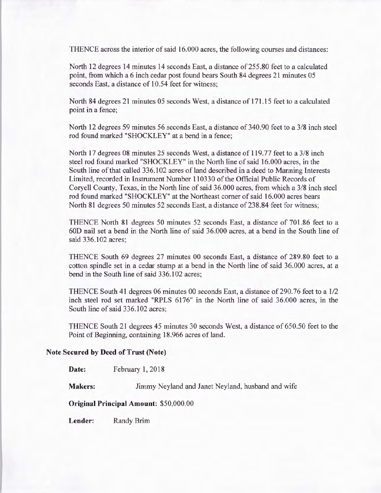THENCE across the interior of said 16.000 acres, the following courses and distances:

North 12 degrees 14 minutes 14 seconds East, a distance of 255.80 feet to a calculated point, from which a 6 inch cedar post found bears South 84 degrees 21 minutes 05 seconds East, a distance of 10.54 feet for witness;

North 84 degrees 21 minutes 05 seconds West, a distance of 171.15 feet to a calculated point in a fence;

North 12 degrees 59 minutes 56 seconds East, a distance of 340.90 feet to a 3/8 inch steel rod found marked "SHOCKLEY" at a bend in a fence;

North 17 degrees 08 minutes 25 seconds West, a distance of 119.77 feet to a 3/8 inch steel rod found marked "SHOCKLEY" in the North line of said 16.000 acres, in the South line of that called 336.102 acres of land described in a deed to Manning Interests Limited, recorded in Instrument Number 110330 of the Official Public Records of Coryell County, Texas, in the North line of said 36.000 acres, from which a 3/8 inch steel rod found marked "SHOCKLEY" at the Northeast comer of said 16.000 acres bears North 81 degrees 50 minutes 52 seconds East, a distance of 238.84 feet for witness;

THENCE North 81 degrees 50 minutes 52 seconds East, a distance of 701.86 feet to a 60D nail set a bend in the North line of said 36.000 acres, at a bend in the South line of said 336.102 acres;

THENCE South 69 degrees 27 minutes 00 seconds East, a distance of 289.80 feet to a cotton spindle set in a cedar stump at a bend in the North line of said 36.000 acres, at a bend in the South line of said 336.102 acres;

THENCE South 41 degrees 06 minutes 00 seconds East, a distance of 290.76 feet to a 1/2 inch steel rod set marked "RPLS 6176" in the North line of said 36.000 acres, in the South line of said 336.102 acres;

THENCE South 21 degrees 45 minutes 30 seconds West, a distance of 650.50 feet to the Point of Beginning, containing 18.966 acres of land.

## **Note Secured by Deed of Trust (Note)**

Date: February 1, 2018

**Makers:** Jimmy Neyland and Janet Neyland, husband and wife

**Original Principal Amount:** \$50,000.00

**Lender:** Randy Brim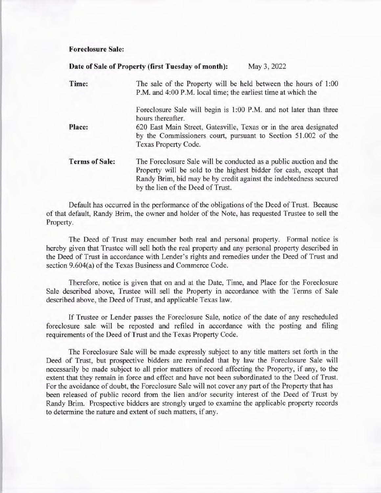## **Foreclosure Sale:**

|                       | Date of Sale of Property (first Tuesday of month):<br>May 3, 2022                                                                                                                                                                                 |  |
|-----------------------|---------------------------------------------------------------------------------------------------------------------------------------------------------------------------------------------------------------------------------------------------|--|
| Time:                 | The sale of the Property will be held between the hours of 1:00<br>P.M. and 4:00 P.M. local time; the earliest time at which the                                                                                                                  |  |
|                       | Foreclosure Sale will begin is 1:00 P.M. and not later than three<br>hours thereafter.                                                                                                                                                            |  |
| Place:                | 620 East Main Street, Gatesville, Texas or in the area designated<br>by the Commissioners court, pursuant to Section 51.002 of the<br>Texas Property Code.                                                                                        |  |
| <b>Terms of Sale:</b> | The Foreclosure Sale will be conducted as a public auction and the<br>Property will be sold to the highest bidder for cash, except that<br>Randy Brim, bid may be by credit against the indebtedness secured<br>by the lien of the Deed of Trust. |  |

Default has occurred in the performance of the obligations of the Deed of Trust. Because of that default, Randy Brim, the owner and holder of the Note, has requested Trustee to sell the Property.

The Deed of Trust may encumber both real and personal property. Formal notice is hereby given that Trustee will sell both the real property and any personal property described in the Deed of Trust in accordance with Lender's rights and remedies under the Deed of Trust and section 9.604(a) of the Texas Business and Commerce Code.

Therefore, notice is given that on and at the Date, Time, and Place for the Foreclosure Sale described above, Trustee will sell the Property in accordance with the Terms of Sale described above, the Deed of Trust, and applicable Texas law.

If Trustee or Lender passes the Foreclosure Sale, notice of the date of any rescheduled foreclosure sale will be reposted and refiled in accordance with the posting and filing requirements of the Deed of Trust and the Texas Property Code.

The Foreclosure Sale will be made expressly subject to any title matters set forth in the Deed of Trust, but prospective bidders are reminded that by law the Foreclosure Sale will necessarily be made subject to all prior matters of record affecting the Property, if any, to the extent that they remain in force and effect and have not been subordinated to the Deed of Trust. For the avoidance of doubt, the Foreclosure Sale will not cover any part of the Property that has been released of public record from the lien and/or security interest of the Deed of Trust by Randy Brim. Prospective bidders are strongly urged to examine the applicable property records to determine the nature and extent of such matters, if any.